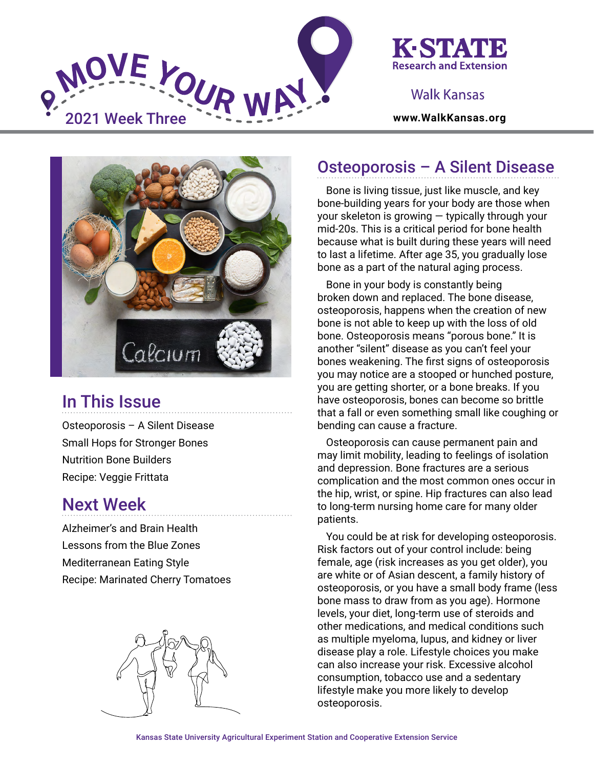



### Walk Kansas



# In This Issue

Osteoporosis – A Silent Disease Small Hops for Stronger Bones Nutrition Bone Builders Recipe: Veggie Frittata

## Next Week

Alzheimer's and Brain Health Lessons from the Blue Zones Mediterranean Eating Style Recipe: Marinated Cherry Tomatoes



# Osteoporosis – A Silent Disease

Bone is living tissue, just like muscle, and key bone-building years for your body are those when your skeleton is growing — typically through your mid-20s. This is a critical period for bone health because what is built during these years will need to last a lifetime. After age 35, you gradually lose bone as a part of the natural aging process.

Bone in your body is constantly being broken down and replaced. The bone disease, osteoporosis, happens when the creation of new bone is not able to keep up with the loss of old bone. Osteoporosis means "porous bone." It is another "silent" disease as you can't feel your bones weakening. The first signs of osteoporosis you may notice are a stooped or hunched posture, you are getting shorter, or a bone breaks. If you have osteoporosis, bones can become so brittle that a fall or even something small like coughing or bending can cause a fracture.

Osteoporosis can cause permanent pain and may limit mobility, leading to feelings of isolation and depression. Bone fractures are a serious complication and the most common ones occur in the hip, wrist, or spine. Hip fractures can also lead to long-term nursing home care for many older patients.

You could be at risk for developing osteoporosis. Risk factors out of your control include: being female, age (risk increases as you get older), you are white or of Asian descent, a family history of osteoporosis, or you have a small body frame (less bone mass to draw from as you age). Hormone levels, your diet, long-term use of steroids and other medications, and medical conditions such as multiple myeloma, lupus, and kidney or liver disease play a role. Lifestyle choices you make can also increase your risk. Excessive alcohol consumption, tobacco use and a sedentary lifestyle make you more likely to develop osteoporosis.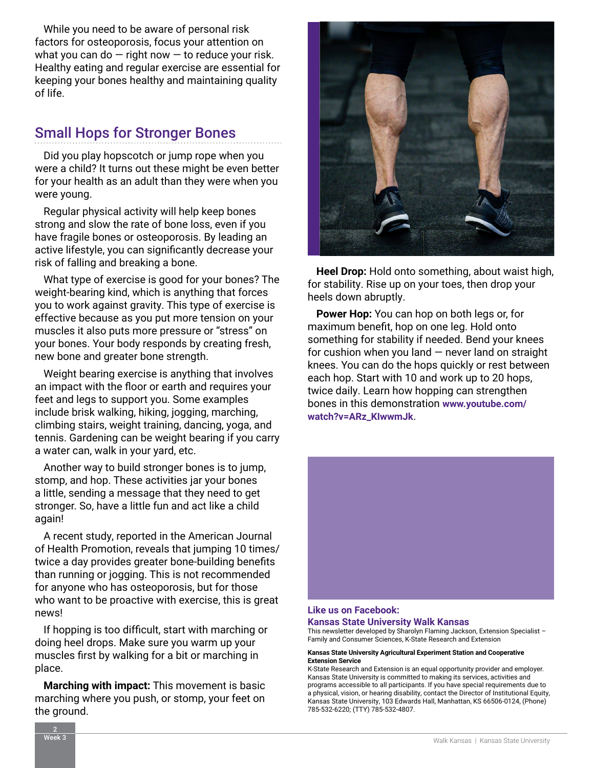While you need to be aware of personal risk factors for osteoporosis, focus your attention on what you can do  $-$  right now  $-$  to reduce your risk. Healthy eating and regular exercise are essential for keeping your bones healthy and maintaining quality of life.

### Small Hops for Stronger Bones

Did you play hopscotch or jump rope when you were a child? It turns out these might be even better for your health as an adult than they were when you were young.

Regular physical activity will help keep bones strong and slow the rate of bone loss, even if you have fragile bones or osteoporosis. By leading an active lifestyle, you can significantly decrease your risk of falling and breaking a bone.

What type of exercise is good for your bones? The weight-bearing kind, which is anything that forces you to work against gravity. This type of exercise is effective because as you put more tension on your muscles it also puts more pressure or "stress" on your bones. Your body responds by creating fresh, new bone and greater bone strength.

Weight bearing exercise is anything that involves an impact with the floor or earth and requires your feet and legs to support you. Some examples include brisk walking, hiking, jogging, marching, climbing stairs, weight training, dancing, yoga, and tennis. Gardening can be weight bearing if you carry a water can, walk in your yard, etc.

Another way to build stronger bones is to jump, stomp, and hop. These activities jar your bones a little, sending a message that they need to get stronger. So, have a little fun and act like a child again!

A recent study, reported in the American Journal of Health Promotion, reveals that jumping 10 times/ twice a day provides greater bone-building benefits than running or jogging. This is not recommended for anyone who has osteoporosis, but for those who want to be proactive with exercise, this is great news!

If hopping is too difficult, start with marching or doing heel drops. Make sure you warm up your muscles first by walking for a bit or marching in place.

**Marching with impact:** This movement is basic marching where you push, or stomp, your feet on the ground.



**Heel Drop:** Hold onto something, about waist high, for stability. Rise up on your toes, then drop your heels down abruptly.

**Power Hop:** You can hop on both legs or, for maximum benefit, hop on one leg. Hold onto something for stability if needed. Bend your knees for cushion when you land  $-$  never land on straight knees. You can do the hops quickly or rest between each hop. Start with 10 and work up to 20 hops, twice daily. Learn how hopping can strengthen bones in this demonstration **[www.youtube.com/](https://www.youtube.com/watch?v=ARz_KIwwmJk) [watch?v=ARz\\_KIwwmJk](https://www.youtube.com/watch?v=ARz_KIwwmJk)**.



#### **[Like us on Facebook:](https://www.facebook.com/walkkansas)**

**[Kansas State University Walk Kansas](https://www.facebook.com/walkkansas)**

This newsletter developed by Sharolyn Flaming Jackson, Extension Specialist – Family and Consumer Sciences, K-State Research and Extension

#### **Kansas State University Agricultural Experiment Station and Cooperative Extension Service**

K-State Research and Extension is an equal opportunity provider and employer. Kansas State University is committed to making its services, activities and programs accessible to all participants. If you have special requirements due to a physical, vision, or hearing disability, contact the Director of Institutional Equity, Kansas State University, 103 Edwards Hall, Manhattan, KS 66506-0124, (Phone) 785-532-6220; (TTY) 785-532-4807.